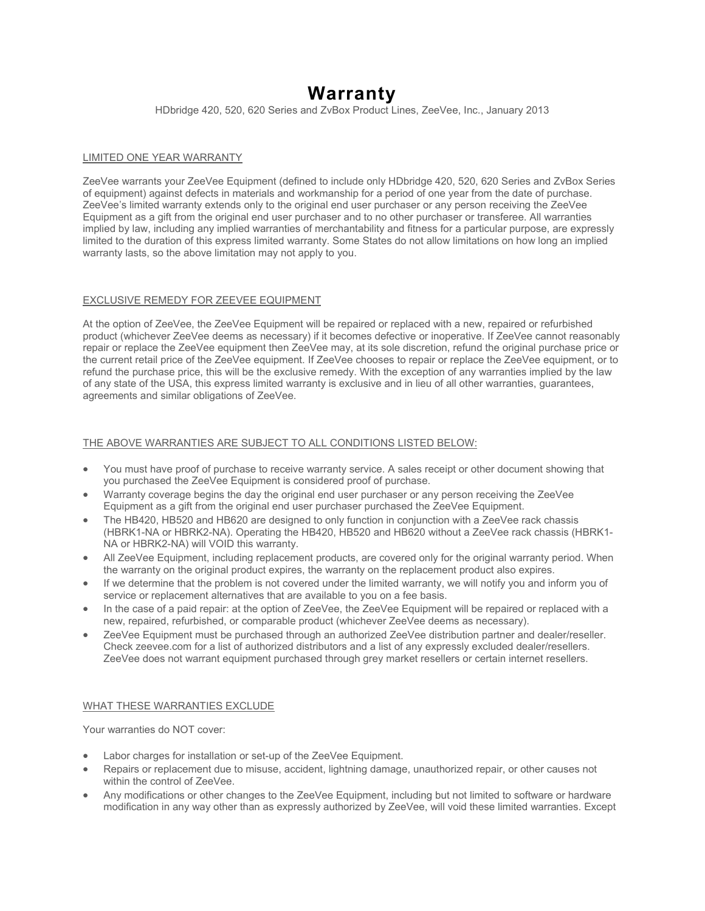# **Warranty**

HDbridge 420, 520, 620 Series and ZvBox Product Lines, ZeeVee, Inc., January 2013

# LIMITED ONE YEAR WARRANTY

ZeeVee warrants your ZeeVee Equipment (defined to include only HDbridge 420, 520, 620 Series and ZvBox Series of equipment) against defects in materials and workmanship for a period of one year from the date of purchase. ZeeVee's limited warranty extends only to the original end user purchaser or any person receiving the ZeeVee Equipment as a gift from the original end user purchaser and to no other purchaser or transferee. All warranties implied by law, including any implied warranties of merchantability and fitness for a particular purpose, are expressly limited to the duration of this express limited warranty. Some States do not allow limitations on how long an implied warranty lasts, so the above limitation may not apply to you.

# EXCLUSIVE REMEDY FOR ZEEVEE EQUIPMENT

At the option of ZeeVee, the ZeeVee Equipment will be repaired or replaced with a new, repaired or refurbished product (whichever ZeeVee deems as necessary) if it becomes defective or inoperative. If ZeeVee cannot reasonably repair or replace the ZeeVee equipment then ZeeVee may, at its sole discretion, refund the original purchase price or the current retail price of the ZeeVee equipment. If ZeeVee chooses to repair or replace the ZeeVee equipment, or to refund the purchase price, this will be the exclusive remedy. With the exception of any warranties implied by the law of any state of the USA, this express limited warranty is exclusive and in lieu of all other warranties, guarantees, agreements and similar obligations of ZeeVee.

# THE ABOVE WARRANTIES ARE SUBJECT TO ALL CONDITIONS LISTED BELOW:

- You must have proof of purchase to receive warranty service. A sales receipt or other document showing that you purchased the ZeeVee Equipment is considered proof of purchase.
- Warranty coverage begins the day the original end user purchaser or any person receiving the ZeeVee Equipment as a gift from the original end user purchaser purchased the ZeeVee Equipment.
- The HB420, HB520 and HB620 are designed to only function in conjunction with a ZeeVee rack chassis (HBRK1-NA or HBRK2-NA). Operating the HB420, HB520 and HB620 without a ZeeVee rack chassis (HBRK1- NA or HBRK2-NA) will VOID this warranty.
- All ZeeVee Equipment, including replacement products, are covered only for the original warranty period. When the warranty on the original product expires, the warranty on the replacement product also expires.
- If we determine that the problem is not covered under the limited warranty, we will notify you and inform you of service or replacement alternatives that are available to you on a fee basis.
- In the case of a paid repair: at the option of ZeeVee, the ZeeVee Equipment will be repaired or replaced with a new, repaired, refurbished, or comparable product (whichever ZeeVee deems as necessary).
- ZeeVee Equipment must be purchased through an authorized ZeeVee distribution partner and dealer/reseller. Check zeevee.com for a list of authorized distributors and a list of any expressly excluded dealer/resellers. ZeeVee does not warrant equipment purchased through grey market resellers or certain internet resellers.

## WHAT THESE WARRANTIES EXCLUDE

Your warranties do NOT cover:

- Labor charges for installation or set-up of the ZeeVee Equipment.
- Repairs or replacement due to misuse, accident, lightning damage, unauthorized repair, or other causes not within the control of ZeeVee.
- Any modifications or other changes to the ZeeVee Equipment, including but not limited to software or hardware modification in any way other than as expressly authorized by ZeeVee, will void these limited warranties. Except